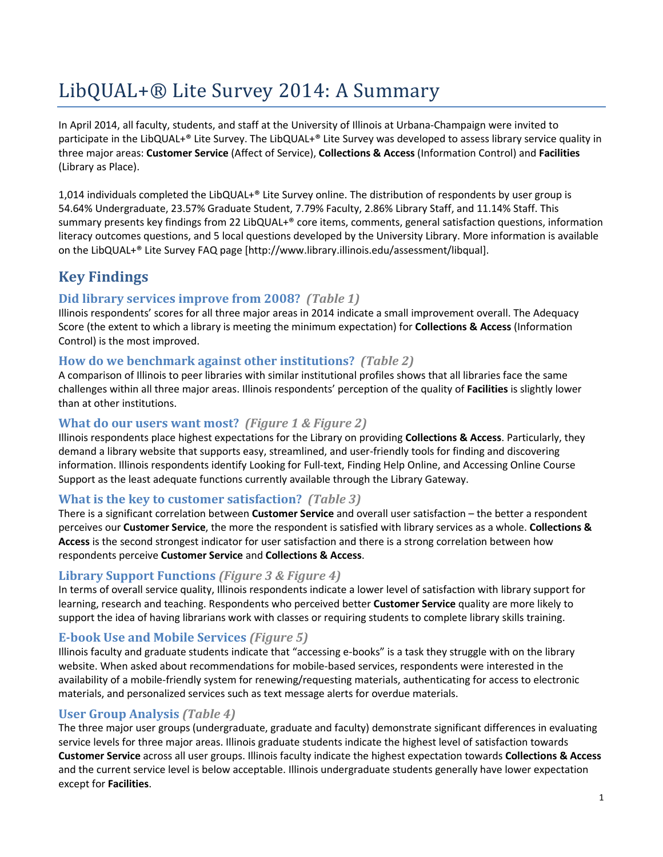# LibQUAL+® Lite Survey 2014: A Summary

In April 2014, all faculty, students, and staff at the University of Illinois at Urbana-Champaign were invited to participate in the LibQUAL+® Lite Survey. The LibQUAL+® Lite Survey was developed to assess library service quality in three major areas: **Customer Service** (Affect of Service), **Collections & Access** (Information Control) and **Facilities** (Library as Place).

1,014 individuals completed the LibQUAL+® Lite Survey online. The distribution of respondents by user group is 54.64% Undergraduate, 23.57% Graduate Student, 7.79% Faculty, 2.86% Library Staff, and 11.14% Staff. This summary presents key findings from 22 LibQUAL+® core items, comments, general satisfaction questions, information literacy outcomes questions, and 5 local questions developed by the University Library. More information is available on the LibQUAL+® Lite Survey FAQ page [http://www.library.illinois.edu/assessment/libqual].

### **Key Findings**

#### **Did library services improve from 2008?** *(Table 1)*

Illinois respondents' scores for all three major areas in 2014 indicate a small improvement overall. The Adequacy Score (the extent to which a library is meeting the minimum expectation) for **Collections & Access** (Information Control) is the most improved.

#### **How do we benchmark against other institutions?** *(Table 2)*

A comparison of Illinois to peer libraries with similar institutional profiles shows that all libraries face the same challenges within all three major areas. Illinois respondents' perception of the quality of **Facilities** is slightly lower than at other institutions.

#### **What do our users want most?** *(Figure 1 & Figure 2)*

Illinois respondents place highest expectations for the Library on providing **Collections & Access**. Particularly, they demand a library website that supports easy, streamlined, and user-friendly tools for finding and discovering information. Illinois respondents identify Looking for Full-text, Finding Help Online, and Accessing Online Course Support as the least adequate functions currently available through the Library Gateway.

#### **What is the key to customer satisfaction?** *(Table 3)*

There is a significant correlation between **Customer Service** and overall user satisfaction – the better a respondent perceives our **Customer Service**, the more the respondent is satisfied with library services as a whole. **Collections & Access** is the second strongest indicator for user satisfaction and there is a strong correlation between how respondents perceive **Customer Service** and **Collections & Access**.

#### **Library Support Functions** *(Figure 3 & Figure 4)*

In terms of overall service quality, Illinois respondents indicate a lower level of satisfaction with library support for learning, research and teaching. Respondents who perceived better **Customer Service** quality are more likely to support the idea of having librarians work with classes or requiring students to complete library skills training.

#### **E-book Use and Mobile Services** *(Figure 5)*

Illinois faculty and graduate students indicate that "accessing e-books" is a task they struggle with on the library website. When asked about recommendations for mobile-based services, respondents were interested in the availability of a mobile-friendly system for renewing/requesting materials, authenticating for access to electronic materials, and personalized services such as text message alerts for overdue materials.

#### **User Group Analysis** *(Table 4)*

The three major user groups (undergraduate, graduate and faculty) demonstrate significant differences in evaluating service levels for three major areas. Illinois graduate students indicate the highest level of satisfaction towards **Customer Service** across all user groups. Illinois faculty indicate the highest expectation towards **Collections & Access** and the current service level is below acceptable. Illinois undergraduate students generally have lower expectation except for **Facilities**.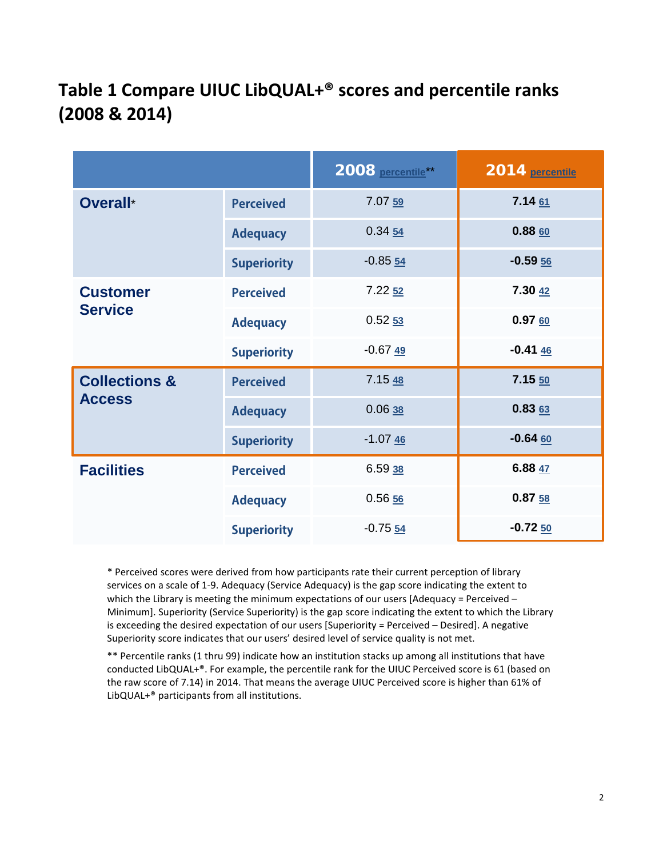## **Table 1 Compare UIUC LibQUAL+® scores and percentile ranks (2008 & 2014)**

|                                           |                    | 2008 percentile**  | 2014 percentile |
|-------------------------------------------|--------------------|--------------------|-----------------|
| Overall*                                  | <b>Perceived</b>   | 7.07 59            | 7.14 61         |
|                                           | <b>Adequacy</b>    | 0.3454             | 0.8860          |
|                                           | <b>Superiority</b> | $-0.8554$          | $-0.5956$       |
| <b>Customer</b><br><b>Service</b>         | <b>Perceived</b>   | 7.22 <sub>52</sub> | 7.30 42         |
|                                           | <b>Adequacy</b>    | 0.5253             | 0.9760          |
|                                           | <b>Superiority</b> | $-0.6749$          | $-0.4146$       |
| <b>Collections &amp;</b><br><b>Access</b> | <b>Perceived</b>   | 7.1548             | 7.15 50         |
|                                           | <b>Adequacy</b>    | 0.0638             | 0.8363          |
|                                           | <b>Superiority</b> | $-1.0746$          | $-0.64$ 60      |
| <b>Facilities</b>                         | <b>Perceived</b>   | 6.5938             | 6.88 47         |
|                                           | <b>Adequacy</b>    | 0.5656             | 0.8758          |
|                                           | <b>Superiority</b> | $-0.7554$          | $-0.7250$       |

\* Perceived scores were derived from how participants rate their current perception of library services on a scale of 1-9. Adequacy (Service Adequacy) is the gap score indicating the extent to which the Library is meeting the minimum expectations of our users [Adequacy = Perceived – Minimum]. Superiority (Service Superiority) is the gap score indicating the extent to which the Library is exceeding the desired expectation of our users [Superiority = Perceived – Desired]. A negative Superiority score indicates that our users' desired level of service quality is not met.

\*\* Percentile ranks (1 thru 99) indicate how an institution stacks up among all institutions that have conducted LibQUAL+®. For example, the percentile rank for the UIUC Perceived score is 61 (based on the raw score of 7.14) in 2014. That means the average UIUC Perceived score is higher than 61% of LibQUAL+® participants from all institutions.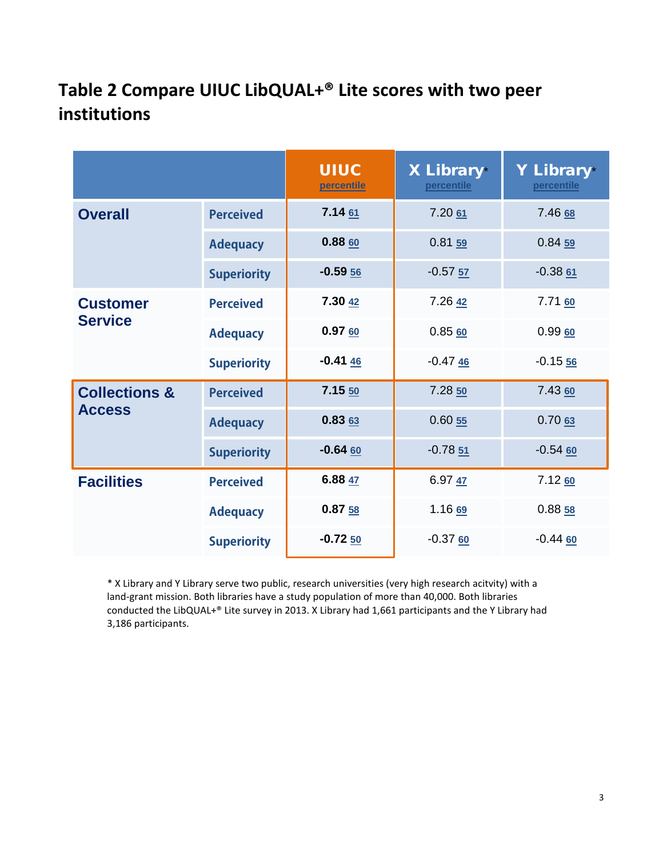## **Table 2 Compare UIUC LibQUAL+® Lite scores with two peer institutions**

|                                           |                    | <b>UIUC</b><br>percentile | <b>X Library</b> *<br>percentile | Y Library*<br>percentile |
|-------------------------------------------|--------------------|---------------------------|----------------------------------|--------------------------|
| <b>Overall</b>                            | <b>Perceived</b>   | 7.1461                    | 7.2061                           | 7.46 68                  |
|                                           | <b>Adequacy</b>    | 0.8860                    | 0.81 <sub>59</sub>               | 0.8459                   |
|                                           | <b>Superiority</b> | $-0.5956$                 | $-0.5757$                        | $-0.3861$                |
| <b>Customer</b><br><b>Service</b>         | <b>Perceived</b>   | 7.30 42                   | 7.26 42                          | 7.71 60                  |
|                                           | <b>Adequacy</b>    | 0.9760                    | 0.8560                           | 0.9960                   |
|                                           | <b>Superiority</b> | $-0.4146$                 | $-0.4746$                        | $-0.1556$                |
| <b>Collections &amp;</b><br><b>Access</b> | <b>Perceived</b>   | $7.15 \underline{50}$     | 7.28 <sub>50</sub>               | 7.43 60                  |
|                                           | <b>Adequacy</b>    | 0.8363                    | 0.6055                           | 0.7063                   |
|                                           | <b>Superiority</b> | $-0.64$ 60                | $-0.7851$                        | $-0.5460$                |
| <b>Facilities</b>                         | <b>Perceived</b>   | 6.88 $47$                 | 6.9747                           | 7.12 <sub>60</sub>       |
|                                           | <b>Adequacy</b>    | 0.8758                    | 1.16 69                          | 0.8858                   |
|                                           | <b>Superiority</b> | $-0.7250$                 | $-0.3760$                        | $-0.44$ 60               |

\* X Library and Y Library serve two public, research universities (very high research acitvity) with a land-grant mission. Both libraries have a study population of more than 40,000. Both libraries conducted the LibQUAL+® Lite survey in 2013. X Library had 1,661 participants and the Y Library had 3,186 participants.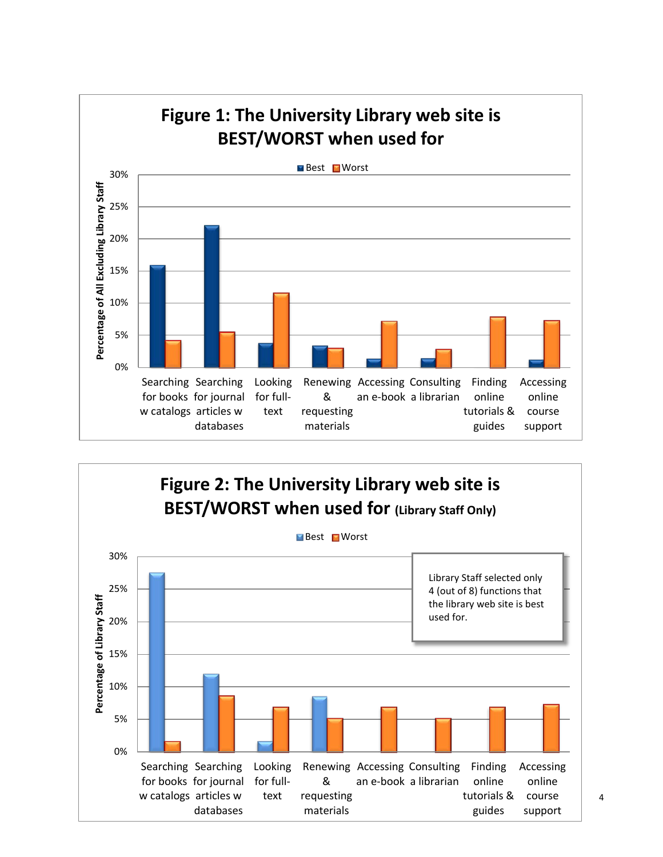

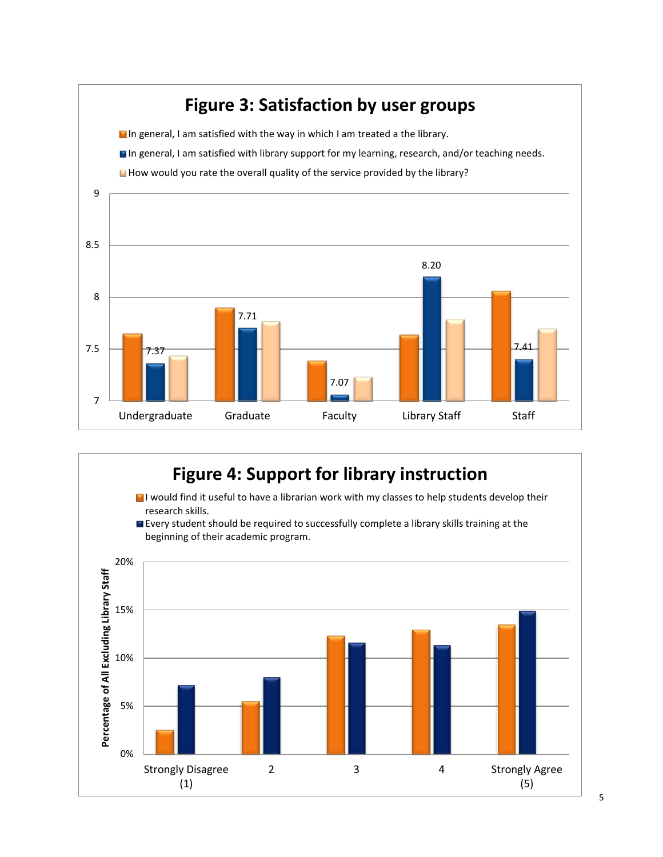

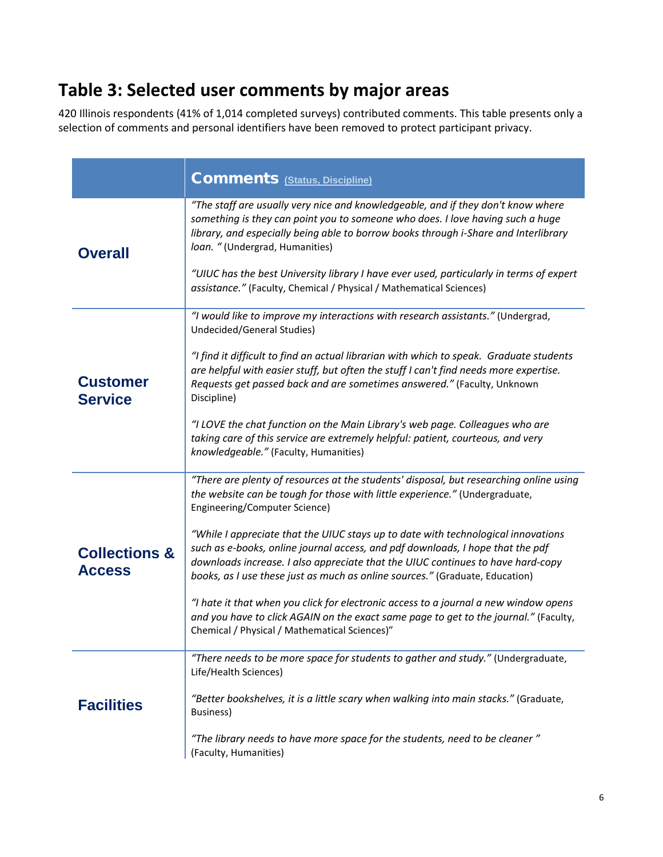### **Table 3: Selected user comments by major areas**

420 Illinois respondents (41% of 1,014 completed surveys) contributed comments. This table presents only a selection of comments and personal identifiers have been removed to protect participant privacy.

|                                           | <b>Comments</b> (Status, Discipline)                                                                                                                                                                                                                                                                                                                                                                                                                                                                                                                                                                                                                                                                                                                                              |  |  |  |
|-------------------------------------------|-----------------------------------------------------------------------------------------------------------------------------------------------------------------------------------------------------------------------------------------------------------------------------------------------------------------------------------------------------------------------------------------------------------------------------------------------------------------------------------------------------------------------------------------------------------------------------------------------------------------------------------------------------------------------------------------------------------------------------------------------------------------------------------|--|--|--|
| <b>Overall</b>                            | "The staff are usually very nice and knowledgeable, and if they don't know where<br>something is they can point you to someone who does. I love having such a huge<br>library, and especially being able to borrow books through i-Share and Interlibrary<br>loan. "(Undergrad, Humanities)<br>"UIUC has the best University library I have ever used, particularly in terms of expert<br>assistance." (Faculty, Chemical / Physical / Mathematical Sciences)                                                                                                                                                                                                                                                                                                                     |  |  |  |
| <b>Customer</b><br><b>Service</b>         | "I would like to improve my interactions with research assistants." (Undergrad,<br>Undecided/General Studies)<br>"I find it difficult to find an actual librarian with which to speak. Graduate students<br>are helpful with easier stuff, but often the stuff I can't find needs more expertise.<br>Requests get passed back and are sometimes answered." (Faculty, Unknown<br>Discipline)<br>"I LOVE the chat function on the Main Library's web page. Colleagues who are<br>taking care of this service are extremely helpful: patient, courteous, and very<br>knowledgeable." (Faculty, Humanities)                                                                                                                                                                           |  |  |  |
| <b>Collections &amp;</b><br><b>Access</b> | "There are plenty of resources at the students' disposal, but researching online using<br>the website can be tough for those with little experience." (Undergraduate,<br>Engineering/Computer Science)<br>"While I appreciate that the UIUC stays up to date with technological innovations<br>such as e-books, online journal access, and pdf downloads, I hope that the pdf<br>downloads increase. I also appreciate that the UIUC continues to have hard-copy<br>books, as I use these just as much as online sources." (Graduate, Education)<br>"I hate it that when you click for electronic access to a journal a new window opens<br>and you have to click AGAIN on the exact same page to get to the journal." (Faculty,<br>Chemical / Physical / Mathematical Sciences)" |  |  |  |
| <b>Facilities</b>                         | "There needs to be more space for students to gather and study." (Undergraduate,<br>Life/Health Sciences)<br>"Better bookshelves, it is a little scary when walking into main stacks." (Graduate,<br><b>Business)</b><br>"The library needs to have more space for the students, need to be cleaner"<br>(Faculty, Humanities)                                                                                                                                                                                                                                                                                                                                                                                                                                                     |  |  |  |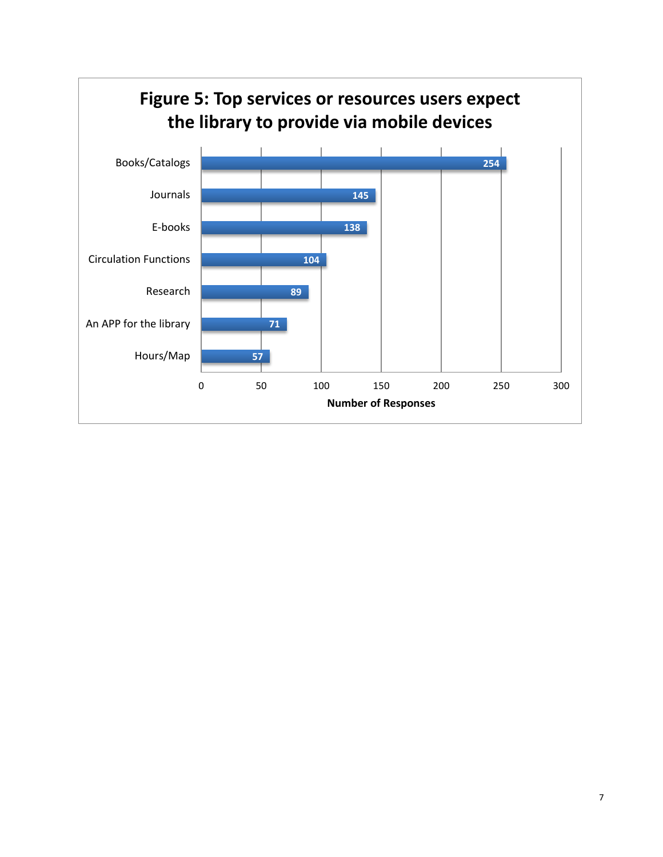